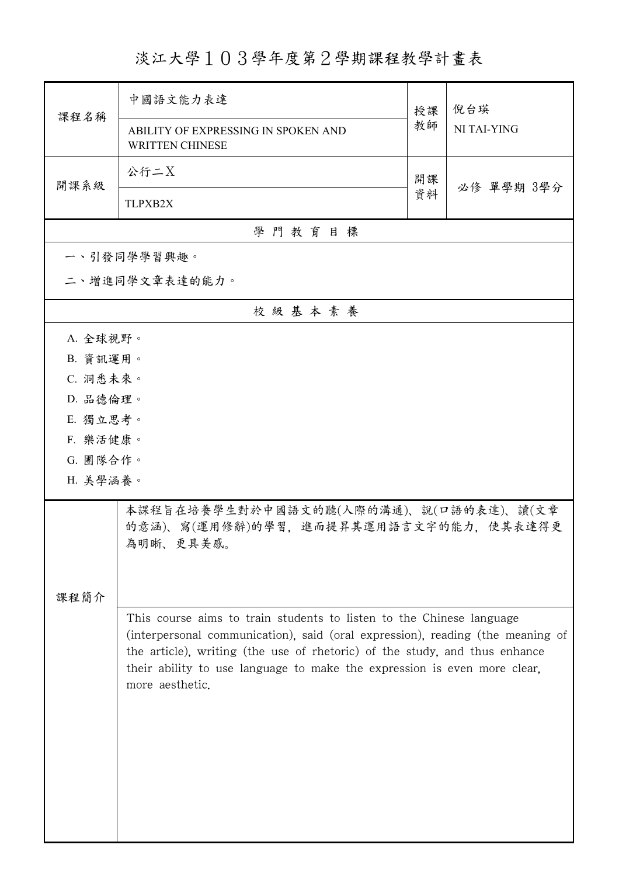## 淡江大學103學年度第2學期課程教學計畫表

| 課程名稱                                                                                         | 中國語文能力表達                                                                                                                                                                                                                                                                                                                            | 授課 | 倪台瑛<br>NI TAI-YING |  |  |  |
|----------------------------------------------------------------------------------------------|-------------------------------------------------------------------------------------------------------------------------------------------------------------------------------------------------------------------------------------------------------------------------------------------------------------------------------------|----|--------------------|--|--|--|
|                                                                                              | ABILITY OF EXPRESSING IN SPOKEN AND<br><b>WRITTEN CHINESE</b>                                                                                                                                                                                                                                                                       | 教師 |                    |  |  |  |
| 開課系級                                                                                         | 公行二X                                                                                                                                                                                                                                                                                                                                | 開課 |                    |  |  |  |
|                                                                                              | TLPXB2X                                                                                                                                                                                                                                                                                                                             | 資料 | 必修 單學期 3學分         |  |  |  |
| 學門教育目標                                                                                       |                                                                                                                                                                                                                                                                                                                                     |    |                    |  |  |  |
|                                                                                              | 一、引發同學學習興趣。                                                                                                                                                                                                                                                                                                                         |    |                    |  |  |  |
|                                                                                              | 二、增進同學文章表達的能力。                                                                                                                                                                                                                                                                                                                      |    |                    |  |  |  |
|                                                                                              | 校級基本素養                                                                                                                                                                                                                                                                                                                              |    |                    |  |  |  |
| A. 全球視野。                                                                                     |                                                                                                                                                                                                                                                                                                                                     |    |                    |  |  |  |
| B. 資訊運用。                                                                                     |                                                                                                                                                                                                                                                                                                                                     |    |                    |  |  |  |
| C. 洞悉未來。                                                                                     |                                                                                                                                                                                                                                                                                                                                     |    |                    |  |  |  |
| D. 品德倫理。                                                                                     |                                                                                                                                                                                                                                                                                                                                     |    |                    |  |  |  |
| E. 獨立思考。                                                                                     |                                                                                                                                                                                                                                                                                                                                     |    |                    |  |  |  |
| F. 樂活健康。                                                                                     |                                                                                                                                                                                                                                                                                                                                     |    |                    |  |  |  |
| G. 團隊合作。                                                                                     |                                                                                                                                                                                                                                                                                                                                     |    |                    |  |  |  |
| H. 美學涵養。                                                                                     |                                                                                                                                                                                                                                                                                                                                     |    |                    |  |  |  |
| 本課程旨在培養學生對於中國語文的聽(人際的溝通)、說(口語的表達)、讀(文章<br>的意涵)、寫(運用修辭)的學習,進而提昇其運用語言文字的能力,使其表達得更<br>為明晰、更具美感。 |                                                                                                                                                                                                                                                                                                                                     |    |                    |  |  |  |
|                                                                                              |                                                                                                                                                                                                                                                                                                                                     |    |                    |  |  |  |
| 課程簡介                                                                                         |                                                                                                                                                                                                                                                                                                                                     |    |                    |  |  |  |
|                                                                                              | This course aims to train students to listen to the Chinese language<br>(interpersonal communication), said (oral expression), reading (the meaning of<br>the article), writing (the use of rhetoric) of the study, and thus enhance<br>their ability to use language to make the expression is even more clear,<br>more aesthetic. |    |                    |  |  |  |
|                                                                                              |                                                                                                                                                                                                                                                                                                                                     |    |                    |  |  |  |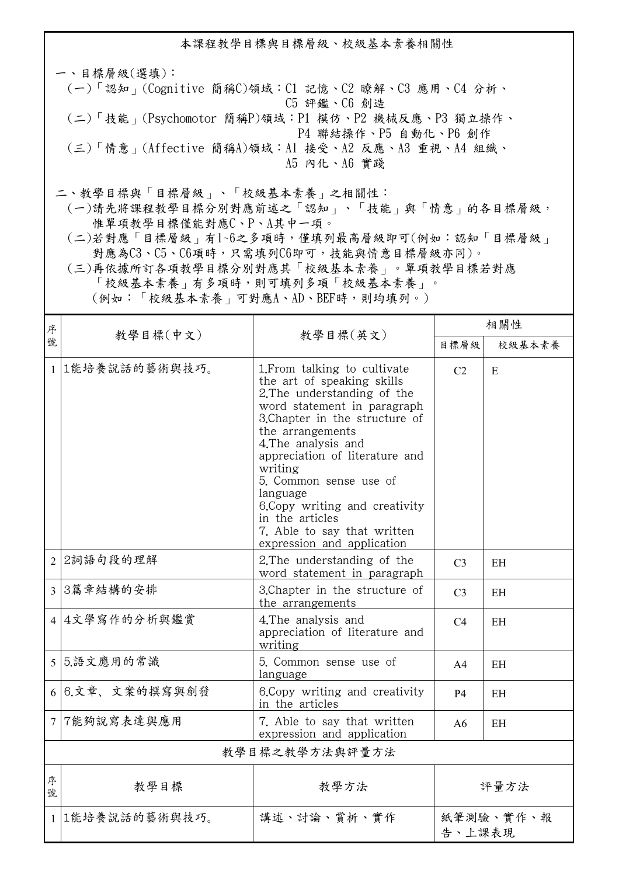本課程教學目標與目標層級、校級基本素養相關性 一、目標層級(選填): (一)「認知」(Cognitive 簡稱C)領域:C1 記憶、C2 瞭解、C3 應用、C4 分析、 C5 評鑑、C6 創造 (二)「技能」(Psychomotor 簡稱P)領域:P1 模仿、P2 機械反應、P3 獨立操作、 P4 聯結操作、P5 自動化、P6 創作 (三)「情意」(Affective 簡稱A)領域:A1 接受、A2 反應、A3 重視、A4 組織、 A5 內化、A6 實踐

二、教學目標與「目標層級」、「校級基本素養」之相關性:

 (一)請先將課程教學目標分別對應前述之「認知」、「技能」與「情意」的各目標層級, 惟單項教學目標僅能對應C、P、A其中一項。

 (二)若對應「目標層級」有1~6之多項時,僅填列最高層級即可(例如:認知「目標層級」 對應為C3、C5、C6項時,只需填列C6即可,技能與情意目標層級亦同)。

 (三)再依據所訂各項教學目標分別對應其「校級基本素養」。單項教學目標若對應 「校級基本素養」有多項時,則可填列多項「校級基本素養」。

(例如:「校級基本素養」可對應A、AD、BEF時,則均填列。)

| 序              | 教學目標(中文)        | 教學目標(英文)                                                                                                                                                                                                                                                                                                                                                                                                   | 相關性                 |           |  |
|----------------|-----------------|------------------------------------------------------------------------------------------------------------------------------------------------------------------------------------------------------------------------------------------------------------------------------------------------------------------------------------------------------------------------------------------------------------|---------------------|-----------|--|
| 號              |                 |                                                                                                                                                                                                                                                                                                                                                                                                            | 目標層級                | 校級基本素養    |  |
| $\mathbf{1}$   | 1能培養說話的藝術與技巧。   | 1. From talking to cultivate<br>the art of speaking skills<br>2. The understanding of the<br>word statement in paragraph<br>3. Chapter in the structure of<br>the arrangements<br>4. The analysis and<br>appreciation of literature and<br>writing<br>5. Common sense use of<br>language<br>6. Copy writing and creativity<br>in the articles<br>7. Able to say that written<br>expression and application | C <sub>2</sub>      | E         |  |
| $\overline{2}$ | 2詞語句段的理解        | 2. The understanding of the<br>word statement in paragraph                                                                                                                                                                                                                                                                                                                                                 | C <sub>3</sub>      | <b>EH</b> |  |
|                | 3 3篇章結構的安排      | 3. Chapter in the structure of<br>the arrangements                                                                                                                                                                                                                                                                                                                                                         | C <sub>3</sub>      | <b>EH</b> |  |
|                | 4 4文學寫作的分析與鑑賞   | 4. The analysis and<br>appreciation of literature and<br>writing                                                                                                                                                                                                                                                                                                                                           | C <sub>4</sub>      | <b>EH</b> |  |
|                | 5 5.語文應用的常識     | 5. Common sense use of<br>language                                                                                                                                                                                                                                                                                                                                                                         | A <sub>4</sub>      | EН        |  |
|                | 6 6.文章、文案的撰寫與創發 | 6. Copy writing and creativity<br>in the articles                                                                                                                                                                                                                                                                                                                                                          | <b>P4</b>           | EН        |  |
|                | 7 7能夠說寫表達與應用    | 7. Able to say that written<br>expression and application                                                                                                                                                                                                                                                                                                                                                  | A6                  | EH        |  |
| 教學目標之教學方法與評量方法 |                 |                                                                                                                                                                                                                                                                                                                                                                                                            |                     |           |  |
| 序<br>號         | 教學目標            | 教學方法                                                                                                                                                                                                                                                                                                                                                                                                       | 評量方法                |           |  |
|                | 1 1能培養說話的藝術與技巧。 | 講述、討論、賞析、實作                                                                                                                                                                                                                                                                                                                                                                                                | 紙筆測驗、實作、報<br>告、上課表現 |           |  |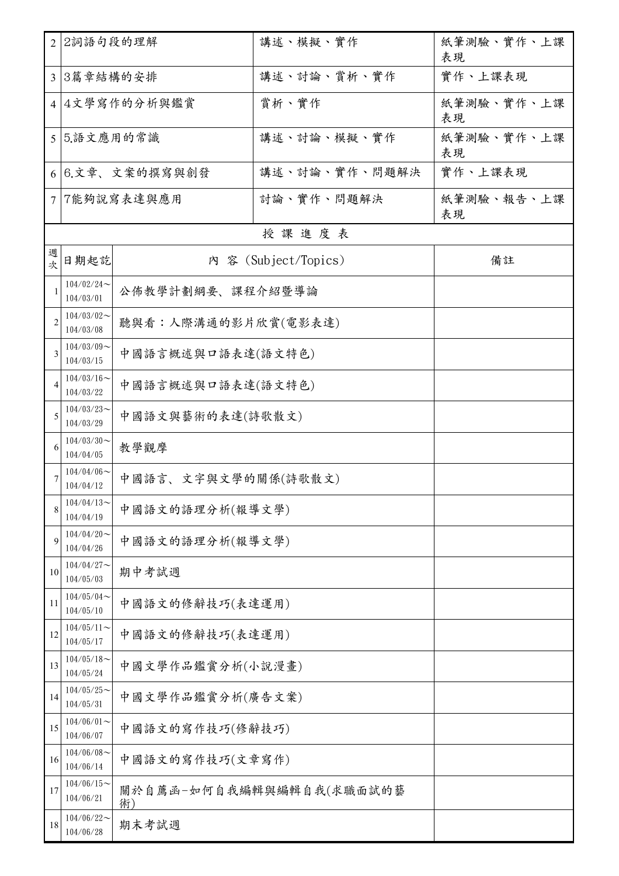|                | 2 2詞語句段的理解                                     |                     | 講述、模擬、實作                 | 紙筆測驗、實作、上課<br>表現 |  |
|----------------|------------------------------------------------|---------------------|--------------------------|------------------|--|
|                | 3 3篇章結構的安排                                     |                     | 講述、討論、賞析、實作              | 實作、上課表現          |  |
|                | 4 4文學寫作的分析與鑑賞                                  |                     | 賞析、實作                    | 紙筆測驗、實作、上課<br>表現 |  |
|                | 5 5.語文應用的常識                                    |                     | 講述、討論、模擬、實作              | 紙筆測驗、實作、上課<br>表現 |  |
|                | 6 6.文章、文案的撰寫與創發                                |                     | 講述、討論、實作、問題解決            | 實作、上課表現          |  |
| $\tau$         | 7能夠說寫表達與應用                                     |                     | 討論、實作、問題解決               | 紙筆測驗、報告、上課<br>表現 |  |
|                |                                                |                     | 授課進度表                    |                  |  |
| 週<br>次         | 日期起訖                                           |                     | 内 容 (Subject/Topics)     | 備註               |  |
| -1             | $104/02/24$ ~<br>104/03/01                     | 公佈教學計劃綱要、課程介紹暨導論    |                          |                  |  |
| $\overline{2}$ | $104/03/02$ ~<br>104/03/08                     | 聽與看:人際溝通的影片欣賞(電影表達) |                          |                  |  |
| 3              | $104/03/09$ ~<br>104/03/15                     | 中國語言概述與口語表達(語文特色)   |                          |                  |  |
| $\overline{4}$ | $104/03/16 \sim$<br>104/03/22                  | 中國語言概述與口語表達(語文特色)   |                          |                  |  |
| 5              | $104/03/23$ ~<br>104/03/29                     | 中國語文與藝術的表達(詩歌散文)    |                          |                  |  |
| 6              | $104/03/30$ ~<br>104/04/05                     | 教學觀摩                |                          |                  |  |
|                | $104/04/06 \sim$<br>104/04/12                  | 中國語言、文字與文學的關係(詩歌散文) |                          |                  |  |
| 8              | $104/04/13$ ~<br>104/04/19                     | 中國語文的語理分析(報導文學)     |                          |                  |  |
| 9              | $104/04/20$ ~<br>104/04/26                     | 中國語文的語理分析(報導文學)     |                          |                  |  |
| 10             | $104/04/27$ ~<br>104/05/03                     | 期中考試週               |                          |                  |  |
| 11             | $104/05/04$ ~<br>104/05/10                     | 中國語文的修辭技巧(表達運用)     |                          |                  |  |
| 12             | $104/05/11$ ~<br>104/05/17                     | 中國語文的修辭技巧(表達運用)     |                          |                  |  |
| 13             | $104/05/18$ ~<br>中國文學作品鑑賞分析(小說漫畫)<br>104/05/24 |                     |                          |                  |  |
| 14             | $104/05/25$ ~<br>中國文學作品鑑賞分析(廣告文案)<br>104/05/31 |                     |                          |                  |  |
| 15             | $104/06/01$ ~<br>中國語文的寫作技巧(修辭技巧)<br>104/06/07  |                     |                          |                  |  |
| 16             | $104/06/08$ ~<br>104/06/14                     | 中國語文的寫作技巧(文章寫作)     |                          |                  |  |
| 17             | $104/06/15$ ~<br>104/06/21                     | 術)                  | 關於自薦函-如何自我編輯與編輯自我(求職面試的藝 |                  |  |
| 18             | $104/06/22$ ~<br>104/06/28                     | 期末考試週               |                          |                  |  |